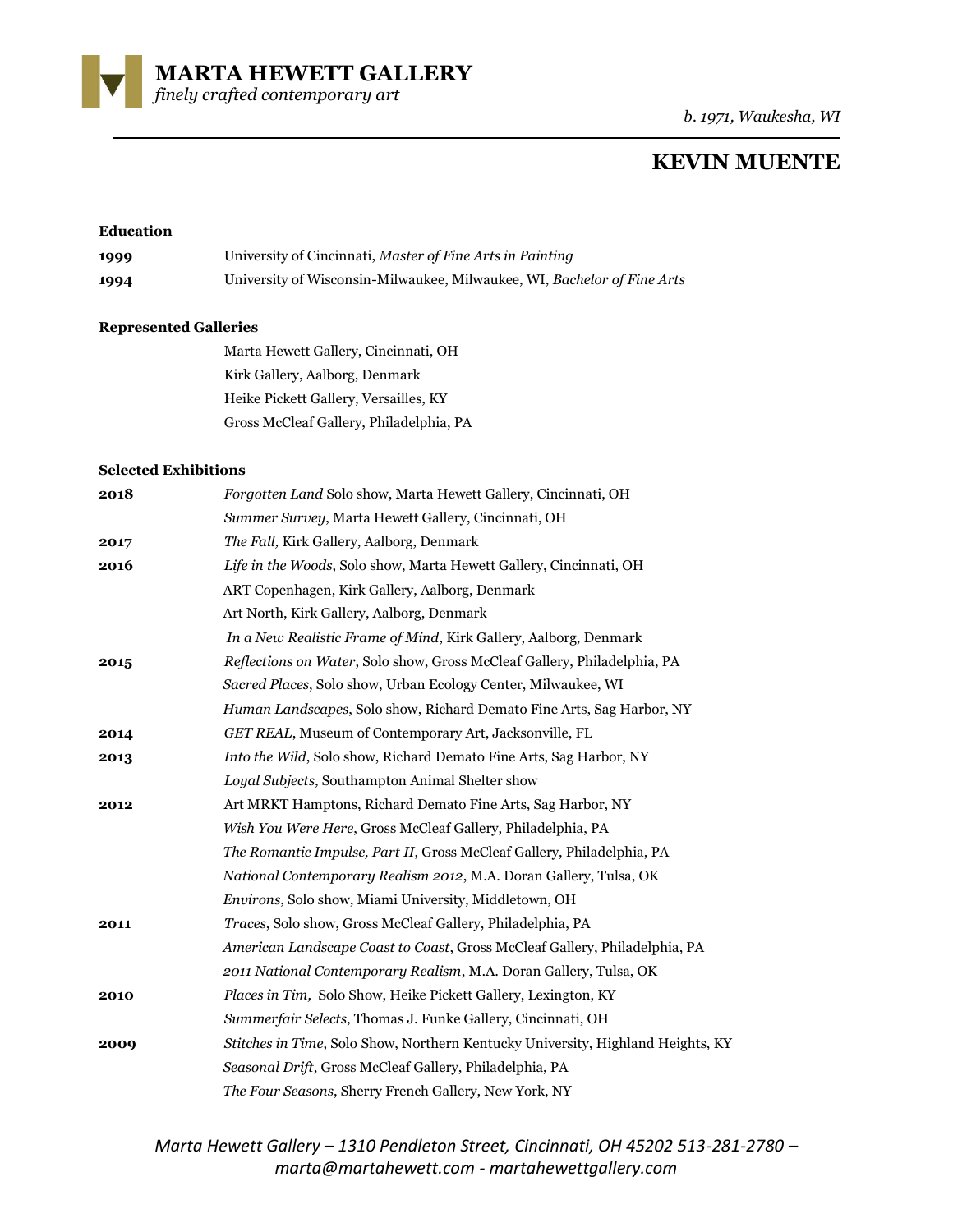**MARTA HEWETT GALLERY** 

*finely crafted contemporary art* 

*b. 1971, Waukesha, WI*

# **KEVIN MUENTE**

## **Education**

| 1999 | University of Cincinnati, Master of Fine Arts in Painting               |
|------|-------------------------------------------------------------------------|
| 1994 | University of Wisconsin-Milwaukee, Milwaukee, WI, Bachelor of Fine Arts |

#### **Represented Galleries**

| Marta Hewett Gallery, Cincinnati, OH    |
|-----------------------------------------|
| Kirk Gallery, Aalborg, Denmark          |
| Heike Pickett Gallery, Versailles, KY   |
| Gross McCleaf Gallery, Philadelphia, PA |

#### **Selected Exhibitions**

| 2018 | Forgotten Land Solo show, Marta Hewett Gallery, Cincinnati, OH                  |
|------|---------------------------------------------------------------------------------|
|      | Summer Survey, Marta Hewett Gallery, Cincinnati, OH                             |
| 2017 | The Fall, Kirk Gallery, Aalborg, Denmark                                        |
| 2016 | Life in the Woods, Solo show, Marta Hewett Gallery, Cincinnati, OH              |
|      | ART Copenhagen, Kirk Gallery, Aalborg, Denmark                                  |
|      | Art North, Kirk Gallery, Aalborg, Denmark                                       |
|      | In a New Realistic Frame of Mind, Kirk Gallery, Aalborg, Denmark                |
| 2015 | Reflections on Water, Solo show, Gross McCleaf Gallery, Philadelphia, PA        |
|      | Sacred Places, Solo show, Urban Ecology Center, Milwaukee, WI                   |
|      | Human Landscapes, Solo show, Richard Demato Fine Arts, Sag Harbor, NY           |
| 2014 | GET REAL, Museum of Contemporary Art, Jacksonville, FL                          |
| 2013 | Into the Wild, Solo show, Richard Demato Fine Arts, Sag Harbor, NY              |
|      | Loyal Subjects, Southampton Animal Shelter show                                 |
| 2012 | Art MRKT Hamptons, Richard Demato Fine Arts, Sag Harbor, NY                     |
|      | Wish You Were Here, Gross McCleaf Gallery, Philadelphia, PA                     |
|      | The Romantic Impulse, Part II, Gross McCleaf Gallery, Philadelphia, PA          |
|      | National Contemporary Realism 2012, M.A. Doran Gallery, Tulsa, OK               |
|      | <i>Environs</i> , Solo show, Miami University, Middletown, OH                   |
| 2011 | Traces, Solo show, Gross McCleaf Gallery, Philadelphia, PA                      |
|      | American Landscape Coast to Coast, Gross McCleaf Gallery, Philadelphia, PA      |
|      | 2011 National Contemporary Realism, M.A. Doran Gallery, Tulsa, OK               |
| 2010 | <i>Places in Tim, Solo Show, Heike Pickett Gallery, Lexington, KY</i>           |
|      | Summerfair Selects, Thomas J. Funke Gallery, Cincinnati, OH                     |
| 2009 | Stitches in Time, Solo Show, Northern Kentucky University, Highland Heights, KY |
|      | Seasonal Drift, Gross McCleaf Gallery, Philadelphia, PA                         |
|      | The Four Seasons, Sherry French Gallery, New York, NY                           |

*Marta Hewett Gallery – 1310 Pendleton Street, Cincinnati, OH 45202 513-281-2780 – marta@martahewett.com - martahewettgallery.com*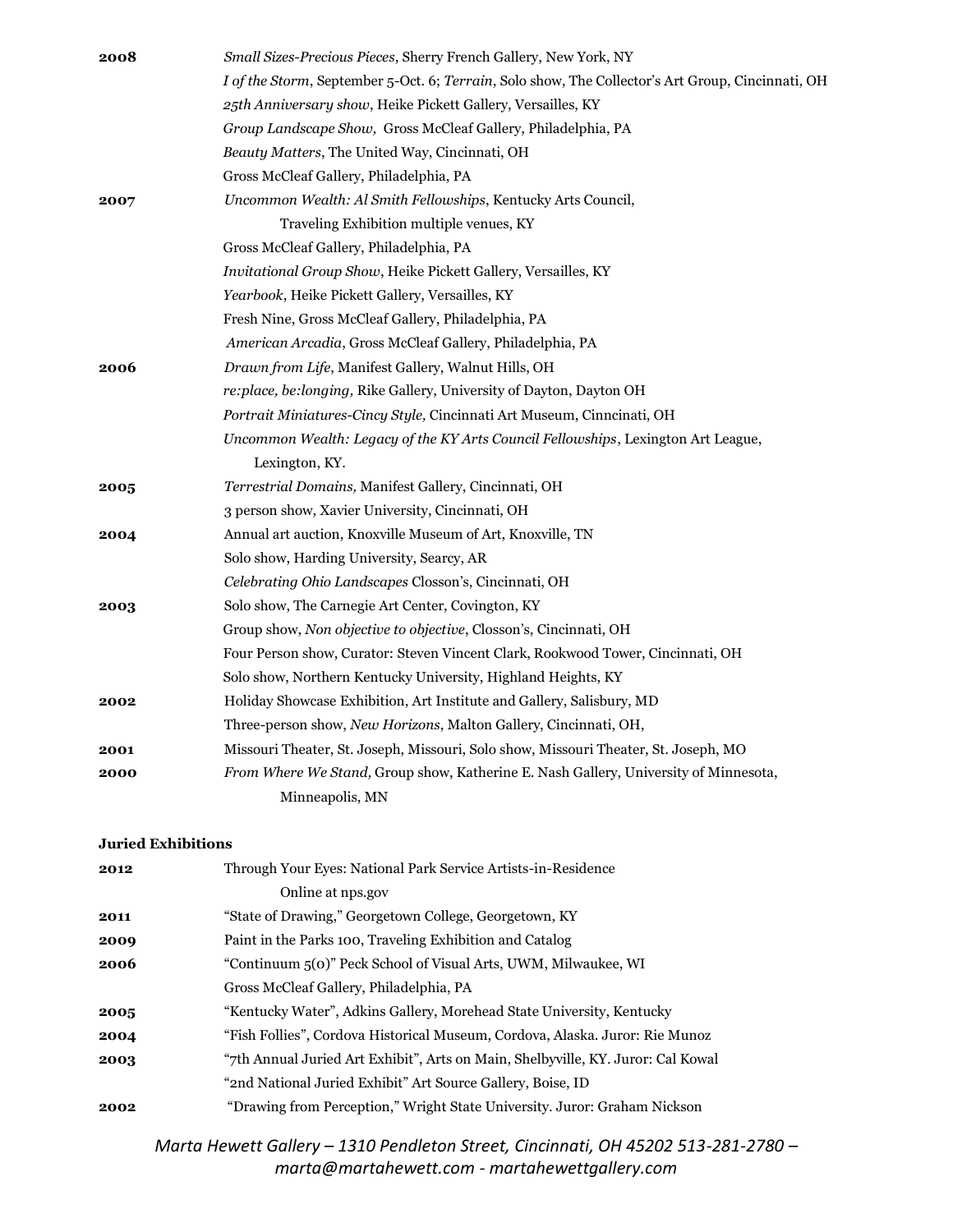| 2008 | Small Sizes-Precious Pieces, Sherry French Gallery, New York, NY                                  |
|------|---------------------------------------------------------------------------------------------------|
|      | I of the Storm, September 5-Oct. 6; Terrain, Solo show, The Collector's Art Group, Cincinnati, OH |
|      | 25th Anniversary show, Heike Pickett Gallery, Versailles, KY                                      |
|      | Group Landscape Show, Gross McCleaf Gallery, Philadelphia, PA                                     |
|      | Beauty Matters, The United Way, Cincinnati, OH                                                    |
|      | Gross McCleaf Gallery, Philadelphia, PA                                                           |
| 2007 | Uncommon Wealth: Al Smith Fellowships, Kentucky Arts Council,                                     |
|      | Traveling Exhibition multiple venues, KY                                                          |
|      | Gross McCleaf Gallery, Philadelphia, PA                                                           |
|      | Invitational Group Show, Heike Pickett Gallery, Versailles, KY                                    |
|      | Yearbook, Heike Pickett Gallery, Versailles, KY                                                   |
|      | Fresh Nine, Gross McCleaf Gallery, Philadelphia, PA                                               |
|      | American Arcadia, Gross McCleaf Gallery, Philadelphia, PA                                         |
| 2006 | Drawn from Life, Manifest Gallery, Walnut Hills, OH                                               |
|      | re:place, be:longing, Rike Gallery, University of Dayton, Dayton OH                               |
|      | Portrait Miniatures-Cincy Style, Cincinnati Art Museum, Cinncinati, OH                            |
|      | Uncommon Wealth: Legacy of the KY Arts Council Fellowships, Lexington Art League,                 |
|      | Lexington, KY.                                                                                    |
| 2005 | Terrestrial Domains, Manifest Gallery, Cincinnati, OH                                             |
|      | 3 person show, Xavier University, Cincinnati, OH                                                  |
| 2004 | Annual art auction, Knoxville Museum of Art, Knoxville, TN                                        |
|      | Solo show, Harding University, Searcy, AR                                                         |
|      | Celebrating Ohio Landscapes Closson's, Cincinnati, OH                                             |
| 2003 | Solo show, The Carnegie Art Center, Covington, KY                                                 |
|      | Group show, Non objective to objective, Closson's, Cincinnati, OH                                 |
|      | Four Person show, Curator: Steven Vincent Clark, Rookwood Tower, Cincinnati, OH                   |
|      | Solo show, Northern Kentucky University, Highland Heights, KY                                     |
| 2002 | Holiday Showcase Exhibition, Art Institute and Gallery, Salisbury, MD                             |
|      | Three-person show, New Horizons, Malton Gallery, Cincinnati, OH,                                  |
| 2001 | Missouri Theater, St. Joseph, Missouri, Solo show, Missouri Theater, St. Joseph, MO               |
| 2000 | From Where We Stand, Group show, Katherine E. Nash Gallery, University of Minnesota,              |
|      | Minneapolis, MN                                                                                   |
|      |                                                                                                   |

# **Juried Exhibitions**

| 2012 | Through Your Eyes: National Park Service Artists-in-Residence                    |
|------|----------------------------------------------------------------------------------|
|      | Online at nps.gov                                                                |
| 2011 | "State of Drawing," Georgetown College, Georgetown, KY                           |
| 2009 | Paint in the Parks 100, Traveling Exhibition and Catalog                         |
| 2006 | "Continuum 5(0)" Peck School of Visual Arts, UWM, Milwaukee, WI                  |
|      | Gross McCleaf Gallery, Philadelphia, PA                                          |
| 2005 | "Kentucky Water", Adkins Gallery, Morehead State University, Kentucky            |
| 2004 | "Fish Follies", Cordova Historical Museum, Cordova, Alaska. Juror: Rie Munoz     |
| 2003 | "7th Annual Juried Art Exhibit", Arts on Main, Shelbyville, KY. Juror: Cal Kowal |
|      | "2nd National Juried Exhibit" Art Source Gallery, Boise, ID                      |
| 2002 | "Drawing from Perception," Wright State University. Juror: Graham Nickson        |

*Marta Hewett Gallery – 1310 Pendleton Street, Cincinnati, OH 45202 513-281-2780 – marta@martahewett.com - martahewettgallery.com*